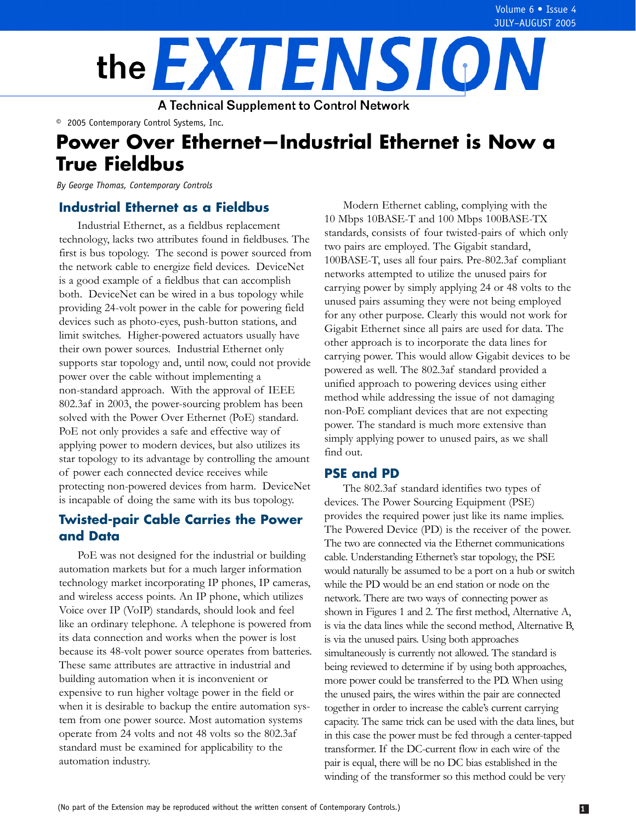

**A Technical Supplement to Control Network** 

© 2005 Contemporary Control Systems, Inc.

# **Power Over Ethernet—Industrial Ethernet is Now a True Fieldbus**

*By George Thomas, Contemporary Controls* 

## **Industrial Ethernet as a Fieldbus**

Industrial Ethernet, as a fieldbus replacement technology, lacks two attributes found in fieldbuses. The first is bus topology. The second is power sourced from the network cable to energize field devices. DeviceNet is a good example of a fieldbus that can accomplish both. DeviceNet can be wired in a bus topology while providing 24-volt power in the cable for powering field devices such as photo-eyes, push-button stations, and limit switches. Higher-powered actuators usually have their own power sources. Industrial Ethernet only supports star topology and, until now, could not provide power over the cable without implementing a non-standard approach. With the approval of IEEE 802.3af in 2003, the power-sourcing problem has been solved with the Power Over Ethernet (PoE) standard. PoE not only provides a safe and effective way of applying power to modern devices, but also utilizes its star topology to its advantage by controlling the amount of power each connected device receives while protecting non-powered devices from harm. DeviceNet is incapable of doing the same with its bus topology.

# **Twisted-pair Cable Carries the Power and Data**

PoE was not designed for the industrial or building automation markets but for a much larger information technology market incorporating IP phones, IP cameras, and wireless access points. An IP phone, which utilizes Voice over IP (VoIP) standards, should look and feel like an ordinary telephone. A telephone is powered from its data connection and works when the power is lost because its 48-volt power source operates from batteries. These same attributes are attractive in industrial and building automation when it is inconvenient or expensive to run higher voltage power in the field or when it is desirable to backup the entire automation system from one power source. Most automation systems operate from 24 volts and not 48 volts so the 802.3af standard must be examined for applicability to the automation industry.

Modern Ethernet cabling, complying with the 10 Mbps 10BASE-T and 100 Mbps 100BASE-TX standards, consists of four twisted-pairs of which only two pairs are employed. The Gigabit standard, 100BASE-T, uses all four pairs. Pre-802.3af compliant networks attempted to utilize the unused pairs for carrying power by simply applying 24 or 48 volts to the unused pairs assuming they were not being employed for any other purpose. Clearly this would not work for Gigabit Ethernet since all pairs are used for data. The other approach is to incorporate the data lines for carrying power. This would allow Gigabit devices to be powered as well. The 802.3af standard provided a unified approach to powering devices using either method while addressing the issue of not damaging non-PoE compliant devices that are not expecting power. The standard is much more extensive than simply applying power to unused pairs, as we shall find out.

# **PSE and PD**

The 802.3af standard identifies two types of devices. The Power Sourcing Equipment (PSE) provides the required power just like its name implies. The Powered Device (PD) is the receiver of the power. The two are connected via the Ethernet communications cable. Understanding Ethernet's star topology, the PSE would naturally be assumed to be a port on a hub or switch while the PD would be an end station or node on the network. There are two ways of connecting power as shown in Figures 1 and 2. The first method, Alternative A, is via the data lines while the second method, Alternative B, is via the unused pairs. Using both approaches simultaneously is currently not allowed. The standard is being reviewed to determine if by using both approaches, more power could be transferred to the PD. When using the unused pairs, the wires within the pair are connected together in order to increase the cable's current carrying capacity. The same trick can be used with the data lines, but in this case the power must be fed through a center-tapped transformer. If the DC-current flow in each wire of the pair is equal, there will be no DC bias established in the winding of the transformer so this method could be very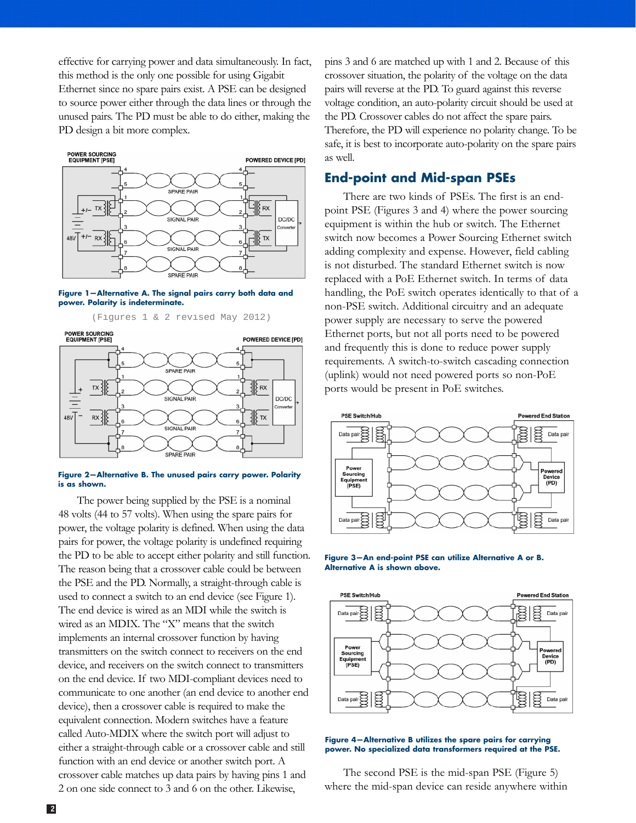effective for carrying power and data simultaneously. In fact, this method is the only one possible for using Gigabit Ethernet since no spare pairs exist. A PSE can be designed to source power either through the data lines or through the unused pairs. The PD must be able to do either, making the PD design a bit more complex.



**Figure 1—Alternative A. The signal pairs carry both data and power. Polarity is indeterminate.** 



#### **Figure 2—Alternative B. The unused pairs carry power. Polarity is as shown.**

The power being supplied by the PSE is a nominal 48 volts (44 to 57 volts). When using the spare pairs for power, the voltage polarity is defined. When using the data pairs for power, the voltage polarity is undefined requiring the PD to be able to accept either polarity and still function. The reason being that a crossover cable could be between the PSE and the PD. Normally, a straight-through cable is used to connect a switch to an end device (see Figure 1). The end device is wired as an MDI while the switch is wired as an MDIX. The "X" means that the switch implements an internal crossover function by having transmitters on the switch connect to receivers on the end device, and receivers on the switch connect to transmitters on the end device. If two MDI-compliant devices need to communicate to one another (an end device to another end device), then a crossover cable is required to make the equivalent connection. Modern switches have a feature called Auto-MDIX where the switch port will adjust to either a straight-through cable or a crossover cable and still function with an end device or another switch port. A crossover cable matches up data pairs by having pins 1 and 2 on one side connect to 3 and 6 on the other. Likewise,

pins 3 and 6 are matched up with 1 and 2. Because of this crossover situation, the polarity of the voltage on the data pairs will reverse at the PD. To guard against this reverse voltage condition, an auto-polarity circuit should be used at the PD. Crossover cables do not affect the spare pairs. Therefore, the PD will experience no polarity change. To be safe, it is best to incorporate auto-polarity on the spare pairs as well.

### **End-point and Mid-span PSEs**

There are two kinds of PSEs. The first is an endpoint PSE (Figures 3 and 4) where the power sourcing equipment is within the hub or switch. The Ethernet switch now becomes a Power Sourcing Ethernet switch adding complexity and expense. However, field cabling is not disturbed. The standard Ethernet switch is now replaced with a PoE Ethernet switch. In terms of data handling, the PoE switch operates identically to that of a non-PSE switch. Additional circuitry and an adequate power supply are necessary to serve the powered Ethernet ports, but not all ports need to be powered and frequently this is done to reduce power supply requirements. A switch-to-switch cascading connection (uplink) would not need powered ports so non-PoE ports would be present in PoE switches.



**Figure 3—An end-point PSE can utilize Alternative A or B. Alternative A is shown above.** 



**Figure 4—Alternative B utilizes the spare pairs for carrying power. No specialized data transformers required at the PSE.** 

The second PSE is the mid-span PSE (Figure 5) where the mid-span device can reside anywhere within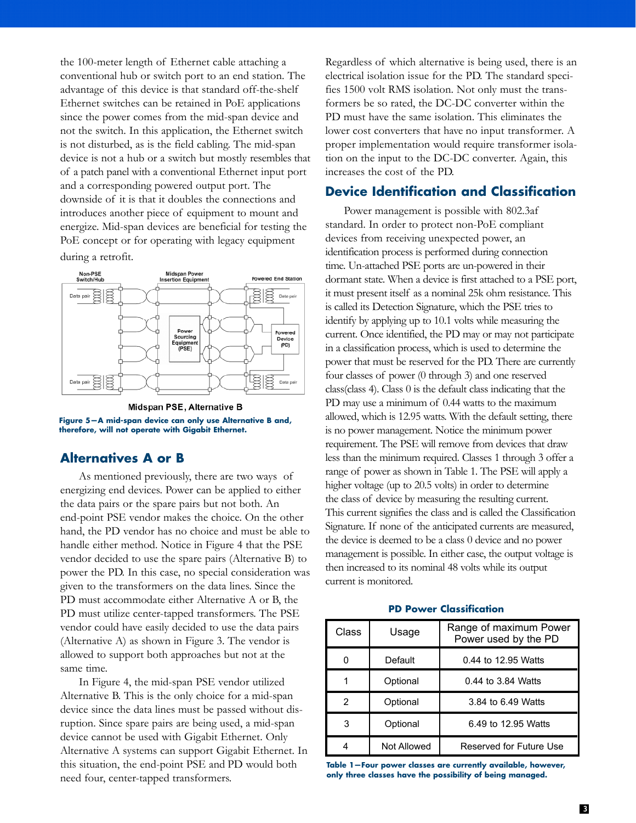the 100-meter length of Ethernet cable attaching a conventional hub or switch port to an end station. The advantage of this device is that standard off-the-shelf Ethernet switches can be retained in PoE applications since the power comes from the mid-span device and not the switch. In this application, the Ethernet switch is not disturbed, as is the field cabling. The mid-span device is not a hub or a switch but mostly resembles that of a patch panel with a conventional Ethernet input port and a corresponding powered output port. The downside of it is that it doubles the connections and introduces another piece of equipment to mount and energize. Mid-span devices are beneficial for testing the PoE concept or for operating with legacy equipment during a retrofit.



Midspan PSE, Alternative B **Figure 5—A mid-span device can only use Alternative B and, therefore, will not operate with Gigabit Ethernet.** 

## **Alternatives A or B**

As mentioned previously, there are two ways of energizing end devices. Power can be applied to either the data pairs or the spare pairs but not both. An end-point PSE vendor makes the choice. On the other hand, the PD vendor has no choice and must be able to handle either method. Notice in Figure 4 that the PSE vendor decided to use the spare pairs (Alternative B) to power the PD. In this case, no special consideration was given to the transformers on the data lines. Since the PD must accommodate either Alternative A or B, the PD must utilize center-tapped transformers. The PSE vendor could have easily decided to use the data pairs (Alternative A) as shown in Figure 3. The vendor is allowed to support both approaches but not at the same time.

In Figure 4, the mid-span PSE vendor utilized Alternative B. This is the only choice for a mid-span device since the data lines must be passed without disruption. Since spare pairs are being used, a mid-span device cannot be used with Gigabit Ethernet. Only Alternative A systems can support Gigabit Ethernet. In this situation, the end-point PSE and PD would both need four, center-tapped transformers.

Regardless of which alternative is being used, there is an electrical isolation issue for the PD. The standard specifies 1500 volt RMS isolation. Not only must the transformers be so rated, the DC-DC converter within the PD must have the same isolation. This eliminates the lower cost converters that have no input transformer. A proper implementation would require transformer isolation on the input to the DC-DC converter. Again, this increases the cost of the PD.

### **Device Identification and Classification**

Power management is possible with 802.3af standard. In order to protect non-PoE compliant devices from receiving unexpected power, an identification process is performed during connection time. Un-attached PSE ports are un-powered in their dormant state. When a device is first attached to a PSE port, it must present itself as a nominal 25k ohm resistance. This is called its Detection Signature, which the PSE tries to identify by applying up to 10.1 volts while measuring the current. Once identified, the PD may or may not participate in a classification process, which is used to determine the power that must be reserved for the PD. There are currently four classes of power (0 through 3) and one reserved class(class 4). Class 0 is the default class indicating that the PD may use a minimum of 0.44 watts to the maximum allowed, which is 12.95 watts. With the default setting, there is no power management. Notice the minimum power requirement. The PSE will remove from devices that draw less than the minimum required. Classes 1 through 3 offer a range of power as shown in Table 1. The PSE will apply a higher voltage (up to 20.5 volts) in order to determine the class of device by measuring the resulting current. This current signifies the class and is called the Classification Signature. If none of the anticipated currents are measured, the device is deemed to be a class 0 device and no power management is possible. In either case, the output voltage is then increased to its nominal 48 volts while its output current is monitored.

| Class | Usage       | Range of maximum Power<br>Power used by the PD |
|-------|-------------|------------------------------------------------|
| n     | Default     | 0.44 to 12.95 Watts                            |
|       | Optional    | 0.44 to 3.84 Watts                             |
| 2     | Optional    | 3.84 to 6.49 Watts                             |
| 3     | Optional    | 6.49 to 12.95 Watts                            |
|       | Not Allowed | Reserved for Future Use                        |

#### **PD Power Classification**

**Table 1—Four power classes are currently available, however, only three classes have the possibility of being managed.**